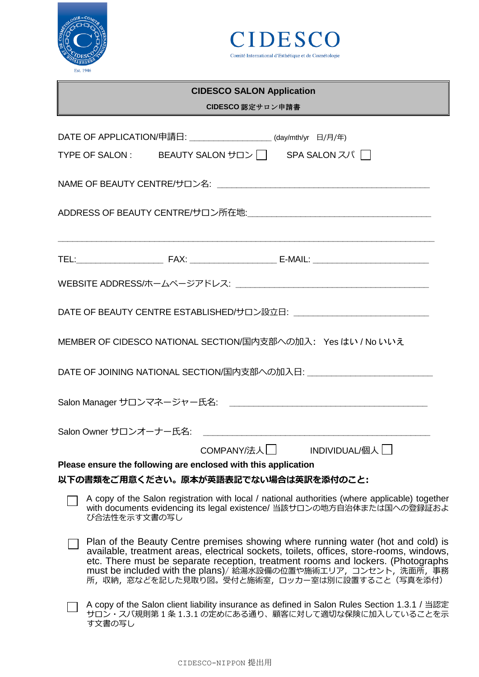



# **CIDESCO SALON Application CIDESCO** 認定サロン申請書 DATE OF APPLICATION/申請日:  $\frac{d}{dx}$  (day/mth/yr 日/月/年)

|                                                                            |              | TYPE OF SALON : BEAUTY SALON サロン   SPA SALON スパ                |  |                                                                                                                                                                             |  |  |  |
|----------------------------------------------------------------------------|--------------|----------------------------------------------------------------|--|-----------------------------------------------------------------------------------------------------------------------------------------------------------------------------|--|--|--|
|                                                                            |              |                                                                |  |                                                                                                                                                                             |  |  |  |
|                                                                            |              |                                                                |  |                                                                                                                                                                             |  |  |  |
|                                                                            |              |                                                                |  | <u> 1989 - Johann Stoff, deutscher Stoff, der Stoff, der Stoff, der Stoff, der Stoff, der Stoff, der Stoff, der S</u>                                                       |  |  |  |
|                                                                            |              |                                                                |  |                                                                                                                                                                             |  |  |  |
| DATE OF BEAUTY CENTRE ESTABLISHED/サロン設立日: ________________________________ |              |                                                                |  |                                                                                                                                                                             |  |  |  |
| MEMBER OF CIDESCO NATIONAL SECTION/国内支部への加入: Yes はい / No いいえ               |              |                                                                |  |                                                                                                                                                                             |  |  |  |
| DATE OF JOINING NATIONAL SECTION/国内支部への加入日:                                |              |                                                                |  |                                                                                                                                                                             |  |  |  |
|                                                                            |              |                                                                |  |                                                                                                                                                                             |  |  |  |
|                                                                            |              |                                                                |  |                                                                                                                                                                             |  |  |  |
|                                                                            |              |                                                                |  | COMPANY/法人 INDIVIDUAL/個人                                                                                                                                                    |  |  |  |
|                                                                            |              | Please ensure the following are enclosed with this application |  |                                                                                                                                                                             |  |  |  |
|                                                                            |              | 以下の書類をご用意ください。原本が英語表記でない場合は英訳を添付のこと:                           |  |                                                                                                                                                                             |  |  |  |
|                                                                            | び合法性を示す文書の写し |                                                                |  | A copy of the Salon registration with local / national authorities (where applicable) together<br>with documents evidencing its legal existence/ 当該サロンの地方自治体または国への登録証およ     |  |  |  |
|                                                                            |              |                                                                |  | Plan of the Beauty Centre premises showing where running water (hot and cold) is<br>available, treatment areas, electrical sockets, toilets, offices, store-rooms, windows, |  |  |  |

- available, treatment areas, electrical sockets, toilets, offices, store-rooms, windows, available, treatment areas, electrical sockets, toilets, offices, store-rooms, windows, etc. There must be separate reception, treatment rooms and lockers. (Photographs must be included with the plans)/ 給湯水設備の位置や施術エリア,コンセント,洗面所,事務 所,収納,窓などを記した見取り図。受付と施術室,ロッカー室は別に設置すること(写真を添付)
- A copy of the Salon client liability insurance as defined in Salon Rules Section 1.3.1 / 当認定 サロン・スパ規則第 1 条 1.3.1 の定めにある通り、顧客に対して適切な保険に加入していることを示 す文書の写し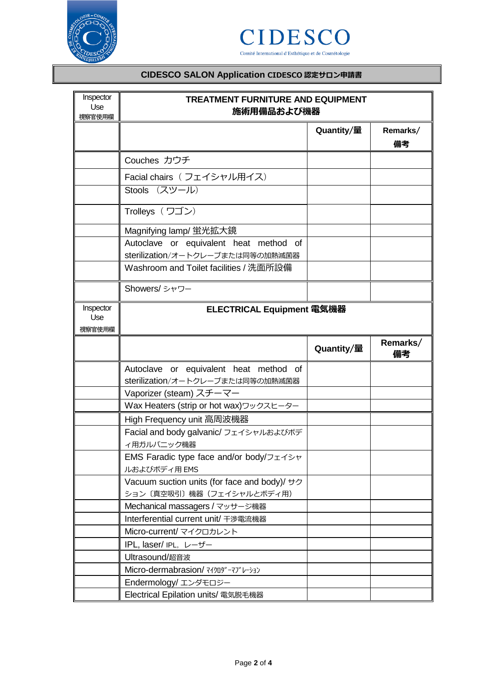



## **CIDESCO SALON Application CIDESCO 認定サロン申請書**

| Inspector<br>Use<br>視察官使用欄 | <b>TREATMENT FURNITURE AND EQUIPMENT</b><br>施術用備品および機器  |            |                |  |  |
|----------------------------|---------------------------------------------------------|------------|----------------|--|--|
|                            |                                                         | Quantity/量 | Remarks/<br>備考 |  |  |
|                            | Couches カウチ                                             |            |                |  |  |
|                            | Facial chairs (フェイシャル用イス)                               |            |                |  |  |
|                            | Stools (スツール)                                           |            |                |  |  |
|                            | Trolleys (ワゴン)                                          |            |                |  |  |
|                            | Magnifying lamp/ 蛍光拡大鏡                                  |            |                |  |  |
|                            | Autoclave or equivalent heat method of                  |            |                |  |  |
|                            | sterilization/オートクレーブまたは同等の加熱滅菌器                        |            |                |  |  |
|                            | Washroom and Toilet facilities / 洗面所設備                  |            |                |  |  |
|                            | Showers/シャワー                                            |            |                |  |  |
| Inspector<br>Use<br>視察官使用欄 | ELECTRICAL Equipment 電気機器                               |            |                |  |  |
|                            |                                                         | Quantity/量 | Remarks/<br>備考 |  |  |
|                            | Autoclave or equivalent heat method of                  |            |                |  |  |
|                            | sterilization/オートクレーブまたは同等の加熱滅菌器                        |            |                |  |  |
|                            | Vaporizer (steam) スチーマー                                 |            |                |  |  |
|                            | Wax Heaters (strip or hot wax)ワックスヒーター                  |            |                |  |  |
|                            | High Frequency unit 高周波機器                               |            |                |  |  |
|                            | Facial and body galvanic/ フェイシャルおよびボデ<br>イ用ガルバニック機器     |            |                |  |  |
|                            | EMS Faradic type face and/or body/フェイシャ<br>ルおよびボディ用 EMS |            |                |  |  |
|                            | Vacuum suction units (for face and body)/ +7            |            |                |  |  |
|                            | ション〔真空吸引〕機器(フェイシャルとボディ用)                                |            |                |  |  |
|                            | Mechanical massagers / マッサージ機器                          |            |                |  |  |
|                            | Interferential current unit/ 干渉電流機器                     |            |                |  |  |
|                            | Micro-current/ マイクロカレント                                 |            |                |  |  |
|                            | IPL, laser/ IPL, レーザー                                   |            |                |  |  |
|                            | Ultrasound/超音波                                          |            |                |  |  |
|                            | Micro-dermabrasion/ マイクロダーマブレーション                       |            |                |  |  |
|                            | Endermology/ エンダモロジー                                    |            |                |  |  |
|                            | Electrical Epilation units/ 電気脱毛機器                      |            |                |  |  |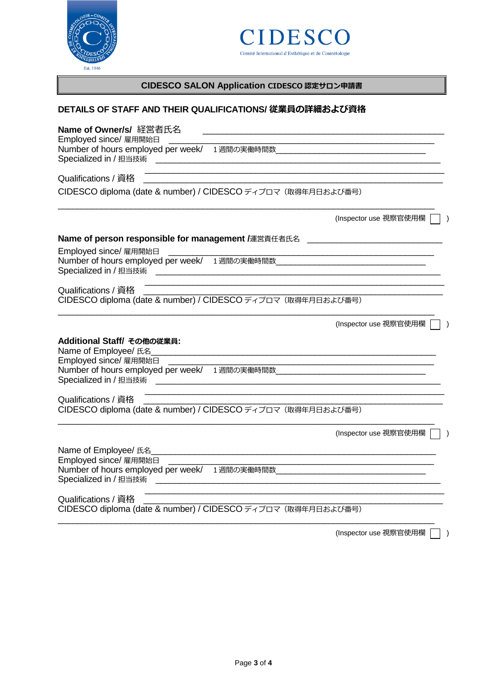



## **CIDESCO SALON Application CIDESCO 認定サロン申請書**

### **DETAILS OF STAFF AND THEIR QUALIFICATIONS/ 従業員の詳細および資格**

| Name of Owner/s/ 経営者氏名                                                                                                                                                                                        |  |
|---------------------------------------------------------------------------------------------------------------------------------------------------------------------------------------------------------------|--|
| Employed since/ 雇用開始日                                                                                                                                                                                         |  |
| <u> 1989 - Andrea Station Barbara, amerikan basal di sebagai personal di sebagai personal di sebagai personal di</u><br>Qualifications / 資格                                                                   |  |
| CIDESCO diploma (date & number) / CIDESCO ディプロマ (取得年月日および番号)                                                                                                                                                  |  |
| (Inspector use 視察官使用欄                                                                                                                                                                                         |  |
| Name of person responsible for management /運営責任者氏名<br><br><u> </u>                                                                                                                                            |  |
| Employed since/ 雇用開始日                                                                                                                                                                                         |  |
|                                                                                                                                                                                                               |  |
| <u> 1989 - Johann Stein, marwolaethau a bhann an t-Amhain Aonaichte ann an 1980.</u><br>Qualifications / 資格<br>CIDESCO diploma (date & number) / CIDESCO ディプロマ (取得年月日および番号)                                   |  |
| (Inspector use 視察官使用欄                                                                                                                                                                                         |  |
| Additional Staff/ その他の従業員:<br>Name of Employee/ 氏名                                                                                                                                                            |  |
| Employed since/ 雇用開始日                                                                                                                                                                                         |  |
| <u> 1989 - Johann Stoff, deutscher Stoffen und der Stoffen und der Stoffen und der Stoffen und der Stoffen und der</u><br>Qualifications / 資格<br>CIDESCO diploma (date & number) / CIDESCO ディプロマ (取得年月日および番号) |  |
| (Inspector use 視察官使用欄                                                                                                                                                                                         |  |
| Employed since/ 雇用開始日<br>Number of hours employed per week/ 1週間の実働時間数<br><u> 1989 - Johann Stoff, fransk politik (d. 1989)</u><br>Specialized in / 担当技術                                                       |  |
| Qualifications / 資格<br>CIDESCO diploma (date & number) / CIDESCO ディプロマ (取得年月日および番号)                                                                                                                           |  |
| (Inspector use 視察官使用欄                                                                                                                                                                                         |  |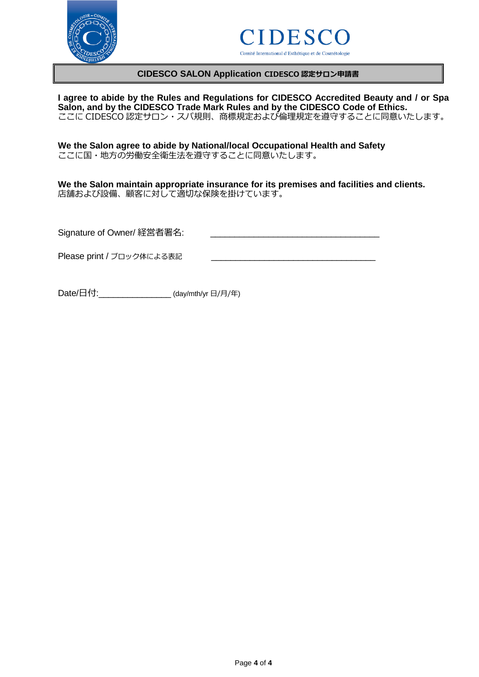



#### **CIDESCO SALON Application CIDESCO 認定サロン申請書**

**I agree to abide by the Rules and Regulations for CIDESCO Accredited Beauty and / or Spa Salon, and by the CIDESCO Trade Mark Rules and by the CIDESCO Code of Ethics.** ここに CIDESCO 認定サロン・スパ規則、商標規定および倫理規定を遵守することに同意いたします。

**We the Salon agree to abide by National/local Occupational Health and Safety** ここに国・地方の労働安全衛生法を遵守することに同意いたします。

**We the Salon maintain appropriate insurance for its premises and facilities and clients.** 店舗および設備、顧客に対して適切な保険を掛けています。

Signature of Owner/ 経営者署名:

Please print / ブロック体による表記

Date/日付:  $\frac{1}{2}$  (day/mth/yr  $\frac{1}{2}$  /  $\frac{1}{2}$ )